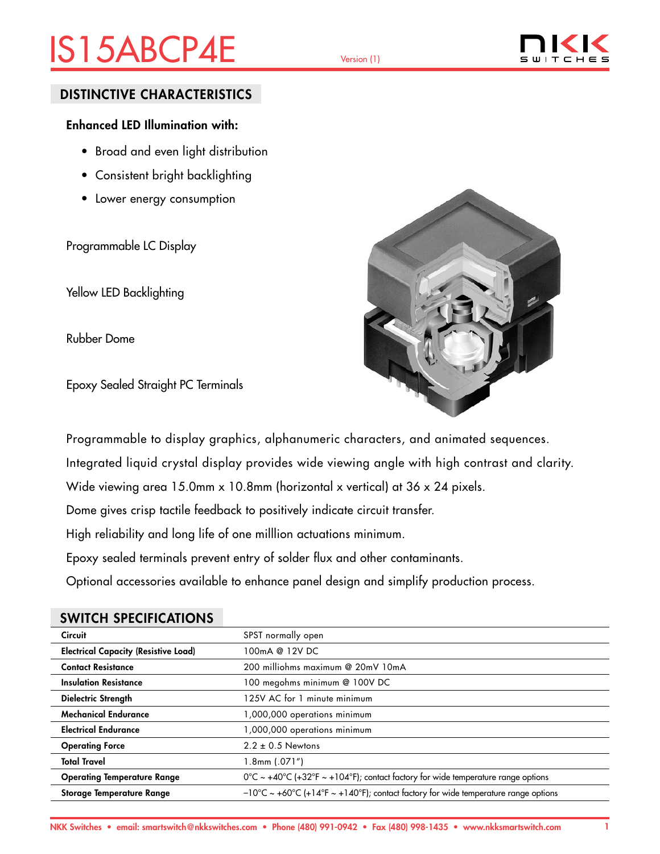# IS15ABCP4E Version (1)



### DISTINCTIVE CHARACTERISTICS

### Enhanced LED Illumination with:

- Broad and even light distribution
- Consistent bright backlighting
- Lower energy consumption

Programmable LC Display

Yellow LED Backlighting

Rubber Dome

Epoxy Sealed Straight PC Terminals



Programmable to display graphics, alphanumeric characters, and animated sequences.

Integrated liquid crystal display provides wide viewing angle with high contrast and clarity.

Wide viewing area 15.0mm x 10.8mm (horizontal x vertical) at 36 x 24 pixels.

Dome gives crisp tactile feedback to positively indicate circuit transfer.

High reliability and long life of one milllion actuations minimum.

Epoxy sealed terminals prevent entry of solder flux and other contaminants.

Optional accessories available to enhance panel design and simplify production process.

| <b>Circuit</b>                              | SPST normally open                                                                           |
|---------------------------------------------|----------------------------------------------------------------------------------------------|
| <b>Electrical Capacity (Resistive Load)</b> | 100mA @ 12V DC                                                                               |
| <b>Contact Resistance</b>                   | 200 milliohms maximum @ 20mV 10mA                                                            |
| <b>Insulation Resistance</b>                | 100 megohms minimum @ 100V DC                                                                |
| <b>Dielectric Strength</b>                  | 125V AC for 1 minute minimum                                                                 |
| <b>Mechanical Endurance</b>                 | 1,000,000 operations minimum                                                                 |
| <b>Electrical Endurance</b>                 | 1,000,000 operations minimum                                                                 |
| <b>Operating Force</b>                      | $2.2 \pm 0.5$ Newtons                                                                        |
| <b>Total Travel</b>                         | $1.8$ mm $(.071")$                                                                           |
| <b>Operating Temperature Range</b>          | $0^{\circ}$ C ~ +40°C (+32°F ~ +104°F); contact factory for wide temperature range options   |
| <b>Storage Temperature Range</b>            | $-10^{\circ}$ C ~ +60°C (+14°F ~ +140°F); contact factory for wide temperature range options |

### SWITCH SPECIFICATIONS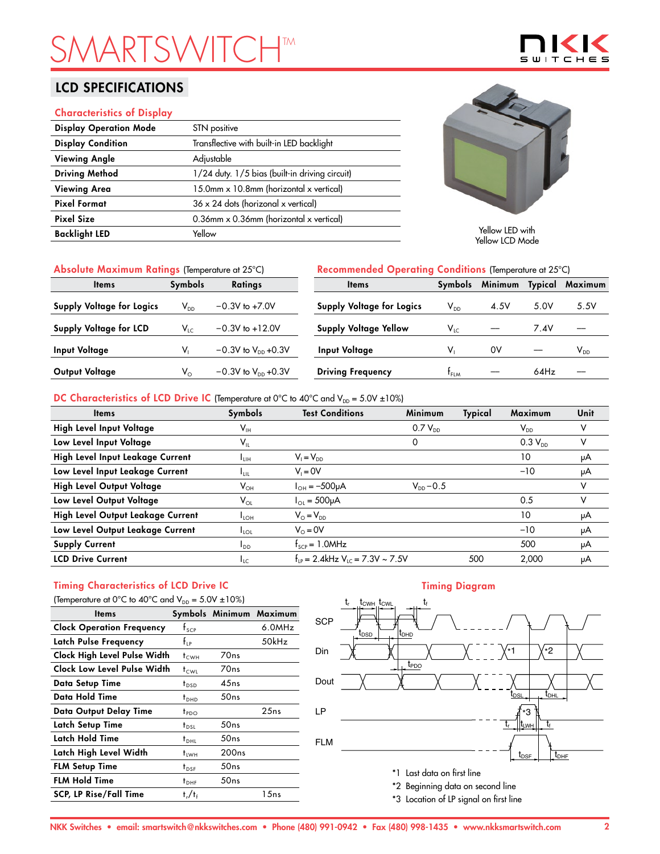# **SMARTSHTM**

## LCD SPECIFICATIONS

#### Characteristics of Display

| <b>Display Operation Mode</b> | STN positive                                   |                                   |
|-------------------------------|------------------------------------------------|-----------------------------------|
| <b>Display Condition</b>      | Transflective with built-in LED backlight      |                                   |
| <b>Viewing Angle</b>          | Adjustable                                     |                                   |
| <b>Driving Method</b>         | 1/24 duty. 1/5 bias (built-in driving circuit) |                                   |
| <b>Viewing Area</b>           | 15.0mm x 10.8mm (horizontal x vertical)        |                                   |
| <b>Pixel Format</b>           | $36 \times 24$ dots (horizonal x vertical)     |                                   |
| <b>Pixel Size</b>             | 0.36mm x 0.36mm (horizontal x vertical)        |                                   |
| <b>Backlight LED</b>          | Yellow                                         | Yellow LED with<br>Yellow ICD Mod |
|                               |                                                |                                   |



 $\mathbf{S}$ 

Yellow LCD Mode

| Absolute Maximum Ratings (Temperature at 25°C) |                                  |                           | Recommended Operating Conditions (Temperature at 25°C) |                            |         |                |          |
|------------------------------------------------|----------------------------------|---------------------------|--------------------------------------------------------|----------------------------|---------|----------------|----------|
| <b>Items</b>                                   | <b>Symbols</b><br><b>Ratings</b> |                           | <b>Items</b>                                           | Symbols                    | Minimum | <b>Typical</b> | Maximum  |
| Supply Voltage for Logics                      | $\mathsf{V}_{\mathsf{DD}}$       | $-0.3V$ to $+7.0V$        | <b>Supply Voltage for Logics</b>                       | $\mathsf{V}_{\mathsf{DD}}$ | 4.5V    | 5.0V           | 5.5V     |
| Supply Voltage for LCD                         | $V_{LC}$                         | $-0.3V$ to $+12.0V$       | <b>Supply Voltage Yellow</b>                           | $V_{LC}$                   |         | 7.4V           |          |
| <b>Input Voltage</b>                           |                                  | $-0.3V$ to $V_{DD}$ +0.3V | Input Voltage                                          | v,                         | 0V      |                | $V_{DD}$ |
| Output Voltage                                 | $V_{\circ}$                      | $-0.3V$ to $V_{DD}$ +0.3V | <b>Driving Frequency</b>                               | $t_{FLM}$                  |         | 64Hz           |          |

#### DC Characteristics of LCD Drive IC (Temperature at 0°C to 40°C and  $V_{DD} = 5.0V \pm 10\%$ )

| <b>Items</b>                      | Symbols                    | <b>Test Conditions</b>                           | <b>Minimum</b> | Typical | Maximum                    | Unit |
|-----------------------------------|----------------------------|--------------------------------------------------|----------------|---------|----------------------------|------|
| High Level Input Voltage          | $\mathsf{V}_{\mathsf{IH}}$ |                                                  | $0.7 V_{DD}$   |         | $\mathsf{V}_{\mathsf{DD}}$ |      |
| Low Level Input Voltage           | $\mathsf{V}_{\mathsf{IL}}$ |                                                  | 0              |         | $0.3 V_{DD}$               | v    |
| High Level Input Leakage Current  | Īцн                        | $V_1 = V_{DD}$                                   |                |         | 10                         | μA   |
| Low Level Input Leakage Current   | <b>L</b> <sub>LIL</sub>    | $V_i = 0V$                                       |                |         | $-10$                      | μA   |
| High Level Output Voltage         | $\mathsf{V}_{\mathsf{OH}}$ | $I_{OH} = -500 \mu A$                            | $V_{DD} - 0.5$ |         |                            | v    |
| Low Level Output Voltage          | $V_{OL}$                   | $I_{01} = 500 \mu A$                             |                |         | 0.5                        | v    |
| High Level Output Leakage Current | $I_{LOH}$                  | $V_{\odot} = V_{\text{DD}}$                      |                |         | 10                         | μA   |
| Low Level Output Leakage Current  | $I_{\text{LOL}}$           | $V_0 = 0V$                                       |                |         | $-10$                      | μA   |
| <b>Supply Current</b>             | I <sub>DD</sub>            | $f_{\text{SCP}} = 1.0$ MHz                       |                |         | 500                        | μA   |
| <b>LCD Drive Current</b>          | $I_{LC}$                   | $f_{1p} = 2.4$ kHz V <sub>10</sub> = 7.3V ~ 7.5V |                | 500     | 2.000                      | μA   |

## Timing Characteristics of LCD Drive IC

| (Temperature at 0°C to 40°C and $V_{DD} = 5.0V \pm 10\%$ ) |                  |                   |                         |  |  |  |  |
|------------------------------------------------------------|------------------|-------------------|-------------------------|--|--|--|--|
| ltems                                                      |                  |                   | Symbols Minimum Maximum |  |  |  |  |
| <b>Clock Operation Frequency</b>                           | $f_{\text{SCP}}$ |                   | 6.0MHz                  |  |  |  |  |
| Latch Pulse Frequency                                      | $f_{\rm IP}$     |                   | 50kHz                   |  |  |  |  |
| Clock High Level Pulse Width                               | $t_{\text{CWH}}$ | 70 <sub>ns</sub>  |                         |  |  |  |  |
| Clock Low Level Pulse Width                                | t <sub>cwi</sub> | 70 <sub>ns</sub>  |                         |  |  |  |  |
| Data Setup Time                                            | $t_{\text{DSD}}$ | 45ns              |                         |  |  |  |  |
| Data Hold Time                                             | $t_{DHD}$        | 50ns              |                         |  |  |  |  |
| Data Output Delay Time                                     | $t_{PDO}$        |                   | 25ns                    |  |  |  |  |
| Latch Setup Time                                           | $t_{DSL}$        | 50ns              |                         |  |  |  |  |
| Latch Hold Time                                            | $t_{\text{DH}}$  | 50ns              |                         |  |  |  |  |
| Latch High Level Width                                     | <sup>†</sup> LWH | 200 <sub>ns</sub> |                         |  |  |  |  |
| <b>FLM Setup Time</b>                                      | $t_{DSF}$        | 50ns              |                         |  |  |  |  |
| <b>FLM Hold Time</b>                                       | $t_{\text{DHF}}$ | 50ns              |                         |  |  |  |  |
| <b>SCP, LP Rise/Fall Time</b>                              | $t_r/t_f$        |                   | 15ns                    |  |  |  |  |

#### Timing Diagram



- \*2 Beginning data on second line
- \*3 Location of LP signal on first line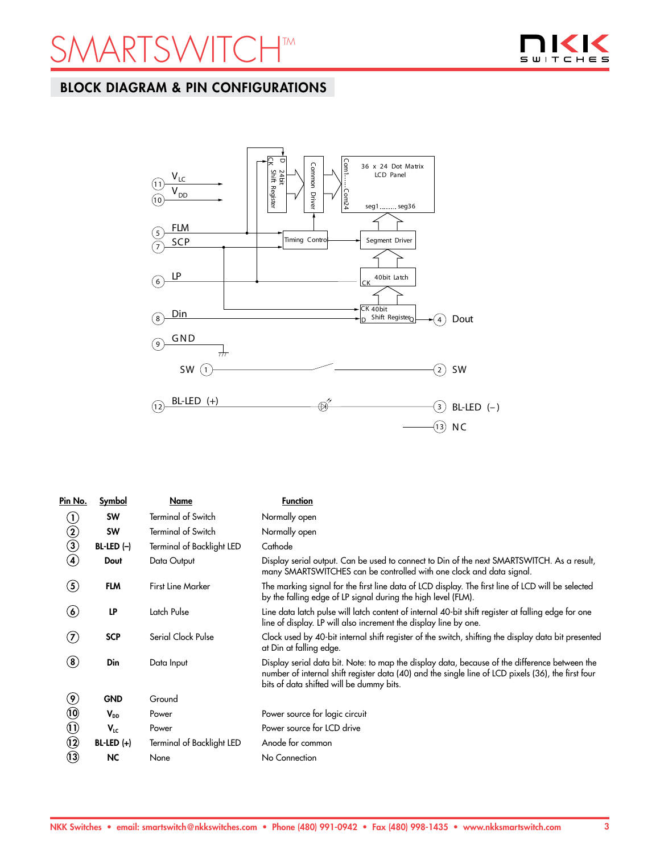## ARTSWITCHTM



## BLOCK DIAGRAM & PIN CONFIGURATIONS



| Pin No.                        | Symbol       | Name                      | <b>Function</b>                                                                                                                                                                                                                                 |
|--------------------------------|--------------|---------------------------|-------------------------------------------------------------------------------------------------------------------------------------------------------------------------------------------------------------------------------------------------|
| $\left( 1\right)$              | <b>SW</b>    | <b>Terminal of Switch</b> | Normally open                                                                                                                                                                                                                                   |
| $\circled{2}$                  | <b>SW</b>    | <b>Terminal of Switch</b> | Normally open                                                                                                                                                                                                                                   |
| $\bigcirc$                     | $BL-LED (-)$ | Terminal of Backlight LED | Cathode                                                                                                                                                                                                                                         |
| $\bf(4)$                       | Dout         | Data Output               | Display serial output. Can be used to connect to Din of the next SMARTSWITCH. As a result,<br>many SMARTSWITCHES can be controlled with one clock and data signal.                                                                              |
| $\left( 5\right)$              | <b>FLM</b>   | <b>First Line Marker</b>  | The marking signal for the first line data of LCD display. The first line of LCD will be selected<br>by the falling edge of LP signal during the high level (FLM).                                                                              |
| $\left( \bullet \right)$       | LP           | Latch Pulse               | Line data latch pulse will latch content of internal 40-bit shift register at falling edge for one<br>line of display. LP will also increment the display line by one.                                                                          |
| $\left( \mathbf{Z}\right)$     | <b>SCP</b>   | Serial Clock Pulse        | Clock used by 40-bit internal shift register of the switch, shifting the display data bit presented<br>at Din at falling edge.                                                                                                                  |
| $\bf (8)$                      | Din          | Data Input                | Display serial data bit. Note: to map the display data, because of the difference between the<br>number of internal shift register data (40) and the single line of LCD pixels (36), the first four<br>bits of data shifted will be dummy bits. |
| $\circledast$                  | <b>GND</b>   | Ground                    |                                                                                                                                                                                                                                                 |
| $\ddot{\mathbf{0}}$            | $V_{DD}$     | Power                     | Power source for logic circuit                                                                                                                                                                                                                  |
| $\textcircled{\scriptsize{1}}$ | $V_{LC}$     | Power                     | Power source for LCD drive                                                                                                                                                                                                                      |
| $\odot$                        | $BL-LED (+)$ | Terminal of Backlight LED | Anode for common                                                                                                                                                                                                                                |
| $\odot$                        | NC.          | None                      | No Connection                                                                                                                                                                                                                                   |